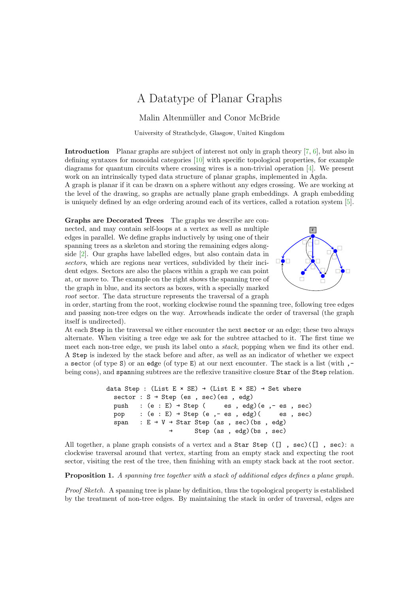## A Datatype of Planar Graphs

Malin Altenmüller and Conor McBride

University of Strathclyde, Glasgow, United Kingdom

Introduction Planar graphs are subject of interest not only in graph theory [\[7,](#page-2-0) [6\]](#page-2-1), but also in defining syntaxes for monoidal categories [\[10\]](#page-2-2) with specific topological properties, for example diagrams for quantum circuits where crossing wires is a non-trivial operation [\[4\]](#page-2-3). We present work on an intrinsically typed data structure of planar graphs, implemented in Agda.

A graph is planar if it can be drawn on a sphere without any edges crossing. We are working at the level of the drawing, so graphs are actually plane graph embeddings. A graph embedding is uniquely defined by an edge ordering around each of its vertices, called a rotation system [\[5\]](#page-2-4).

Graphs are Decorated Trees The graphs we describe are connected, and may contain self-loops at a vertex as well as multiple edges in parallel. We define graphs inductively by using one of their spanning trees as a skeleton and storing the remaining edges alongside [\[2\]](#page-2-5). Our graphs have labelled edges, but also contain data in sectors, which are regions near vertices, subdivided by their incident edges. Sectors are also the places within a graph we can point at, or move to. The example on the right shows the spanning tree of the graph in blue, and its sectors as boxes, with a specially marked root sector. The data structure represents the traversal of a graph



in order, starting from the root, working clockwise round the spanning tree, following tree edges and passing non-tree edges on the way. Arrowheads indicate the order of traversal (the graph itself is undirected).

At each Step in the traversal we either encounter the next sector or an edge; these two always alternate. When visiting a tree edge we ask for the subtree attached to it. The first time we meet each non-tree edge, we push its label onto a stack, popping when we find its other end. A Step is indexed by the stack before and after, as well as an indicator of whether we expect a sector (of type S) or an edge (of type E) at our next encounter. The stack is a list (with  $,$ being cons), and spanning subtrees are the reflexive transitive closure Star of the Step relation.

```
data Step : (List E × SE) \rightarrow (List E × SE) \rightarrow Set where
sector : S → Step (es , sec)(es , edg)
push : (e : E) \rightarrow Step (es, edg)(e, - es, sec)
pop : (e : E) \rightarrow Step (e, - es, edg) (es, sec)
span : E \rightarrow V \rightarrow Star Step (as, sec)(bs, edg)Step (as, edg)(bs, sec)
```
All together, a plane graph consists of a vertex and a Star Step  $([$ ], sec $)($ ], sec $)$ : a clockwise traversal around that vertex, starting from an empty stack and expecting the root sector, visiting the rest of the tree, then finishing with an empty stack back at the root sector.

Proposition 1. A spanning tree together with a stack of additional edges defines a plane graph.

Proof Sketch. A spanning tree is plane by definition, thus the topological property is established by the treatment of non-tree edges. By maintaining the stack in order of traversal, edges are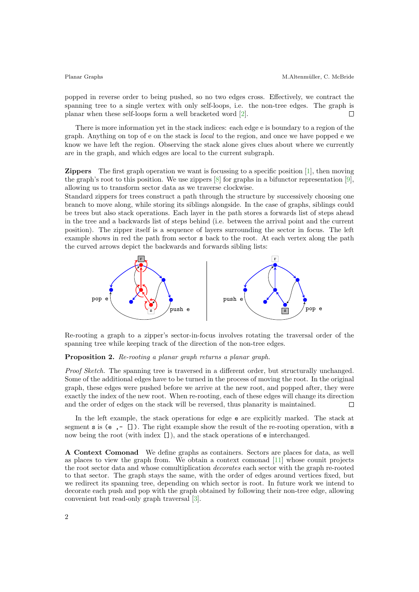popped in reverse order to being pushed, so no two edges cross. Effectively, we contract the spanning tree to a single vertex with only self-loops, i.e. the non-tree edges. The graph is planar when these self-loops form a well bracketed word [\[2\]](#page-2-5).  $\Box$ 

There is more information yet in the stack indices: each edge e is boundary to a region of the graph. Anything on top of e on the stack is local to the region, and once we have popped e we know we have left the region. Observing the stack alone gives clues about where we currently are in the graph, and which edges are local to the current subgraph.

**Zippers** The first graph operation we want is focussing to a specific position  $[1]$ , then moving the graph's root to this position. We use zippers [\[8\]](#page-2-7) for graphs in a bifunctor representation [\[9\]](#page-2-8), allowing us to transform sector data as we traverse clockwise.

Standard zippers for trees construct a path through the structure by successively choosing one branch to move along, while storing its siblings alongside. In the case of graphs, siblings could be trees but also stack operations. Each layer in the path stores a forwards list of steps ahead in the tree and a backwards list of steps behind (i.e. between the arrival point and the current position). The zipper itself is a sequence of layers surrounding the sector in focus. The left example shows in red the path from sector s back to the root. At each vertex along the path the curved arrows depict the backwards and forwards sibling lists:



Re-rooting a graph to a zipper's sector-in-focus involves rotating the traversal order of the spanning tree while keeping track of the direction of the non-tree edges.

## Proposition 2. Re-rooting a planar graph returns a planar graph.

Proof Sketch. The spanning tree is traversed in a different order, but structurally unchanged. Some of the additional edges have to be turned in the process of moving the root. In the original graph, these edges were pushed before we arrive at the new root, and popped after, they were exactly the index of the new root. When re-rooting, each of these edges will change its direction and the order of edges on the stack will be reversed, thus planarity is maintained.  $\Box$ 

In the left example, the stack operations for edge e are explicitly marked. The stack at segment s is (e  $, -$  []). The right example show the result of the re-rooting operation, with s now being the root (with index []), and the stack operations of e interchanged.

A Context Comonad We define graphs as containers. Sectors are places for data, as well as places to view the graph from. We obtain a context comonad [\[11\]](#page-2-9) whose counit projects the root sector data and whose comultiplication decorates each sector with the graph re-rooted to that sector. The graph stays the same, with the order of edges around vertices fixed, but we redirect its spanning tree, depending on which sector is root. In future work we intend to decorate each push and pop with the graph obtained by following their non-tree edge, allowing convenient but read-only graph traversal [\[3\]](#page-2-10).